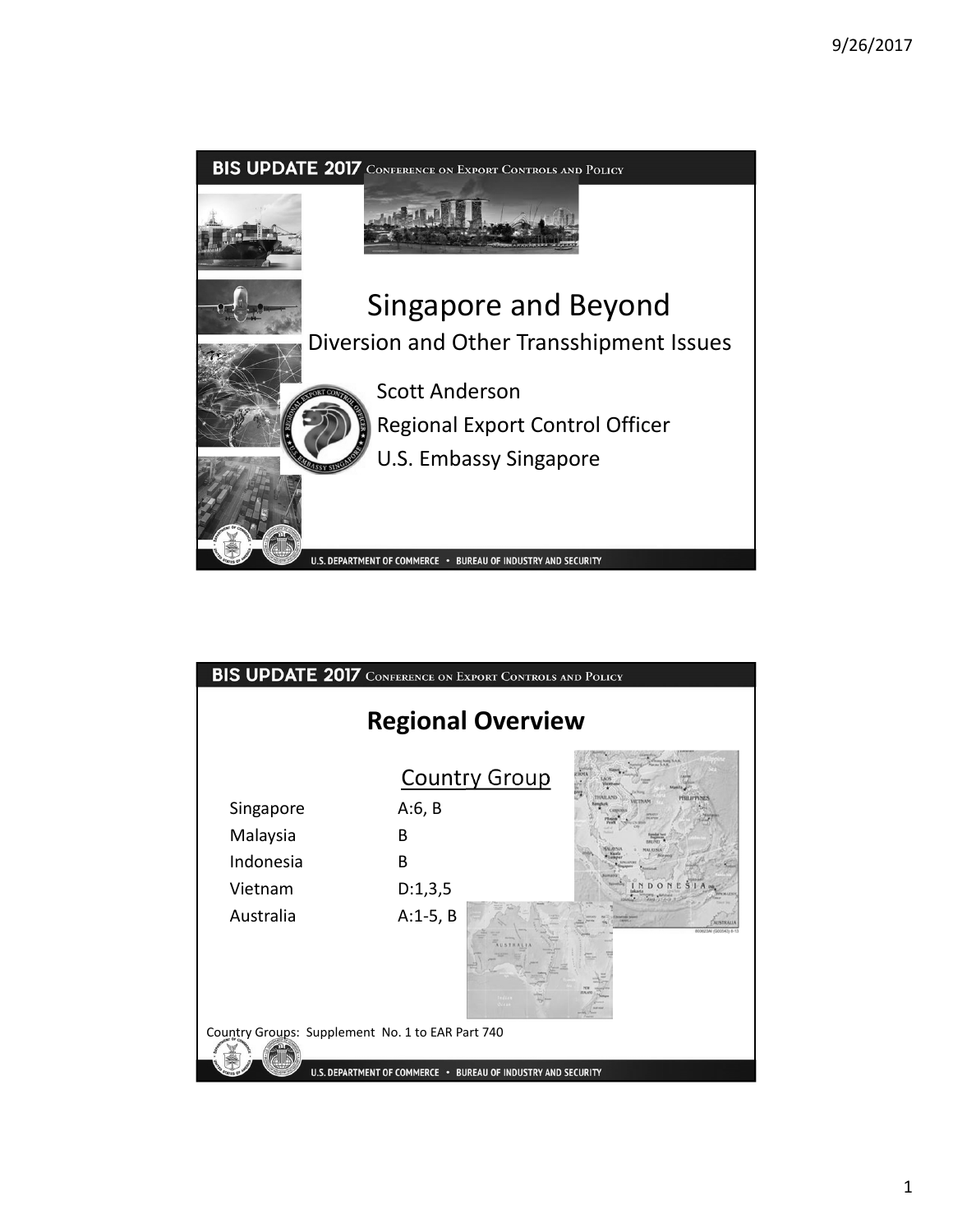

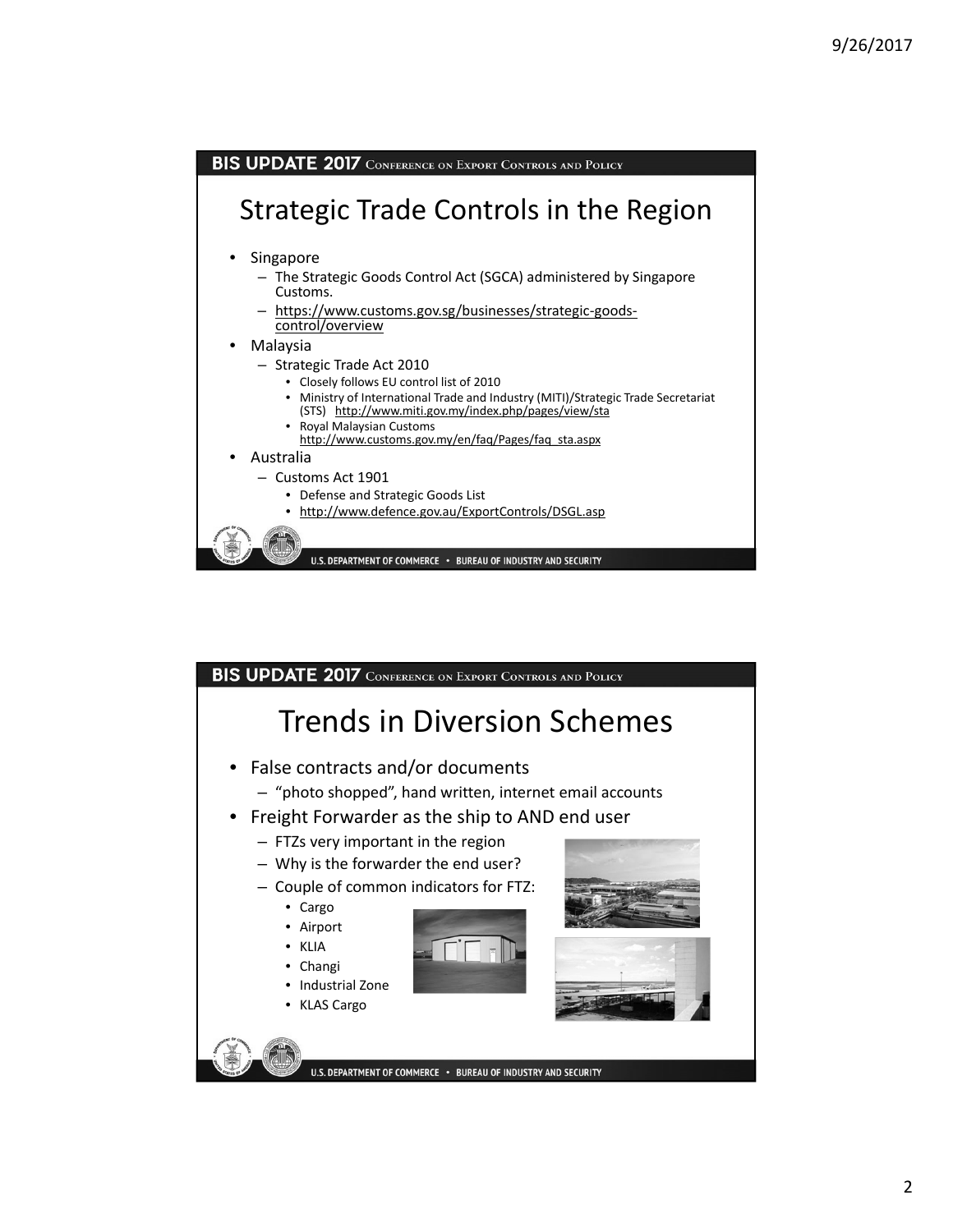

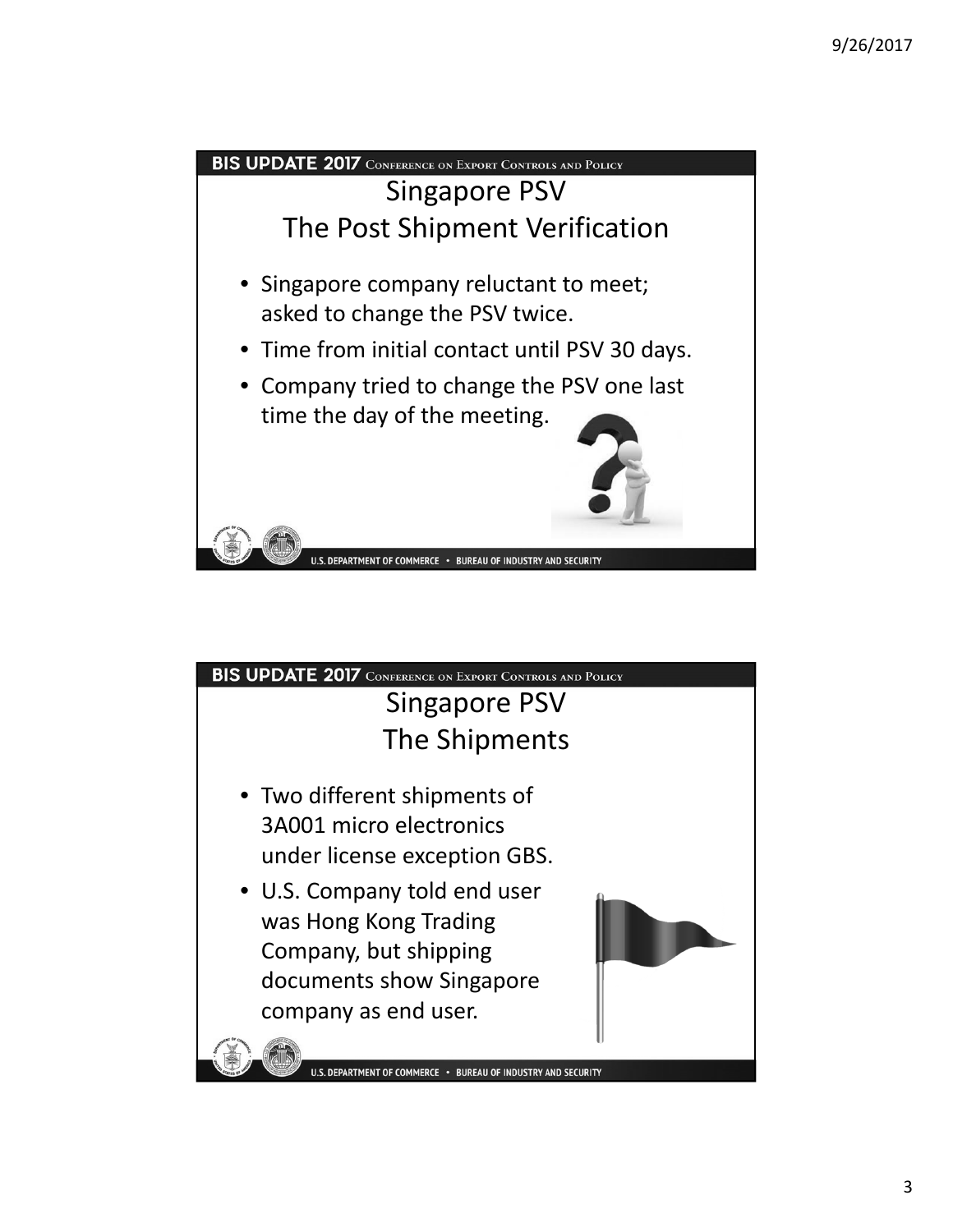

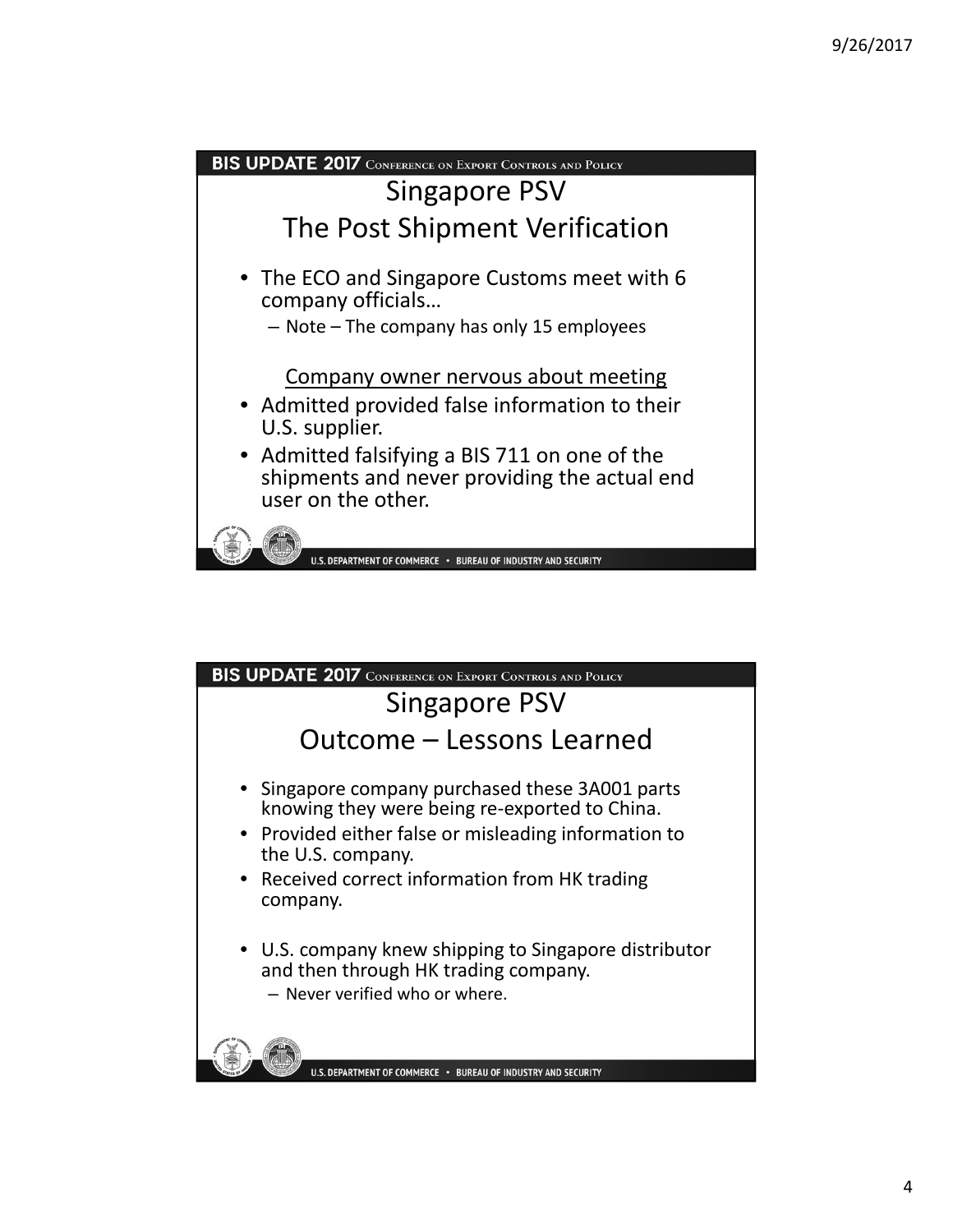

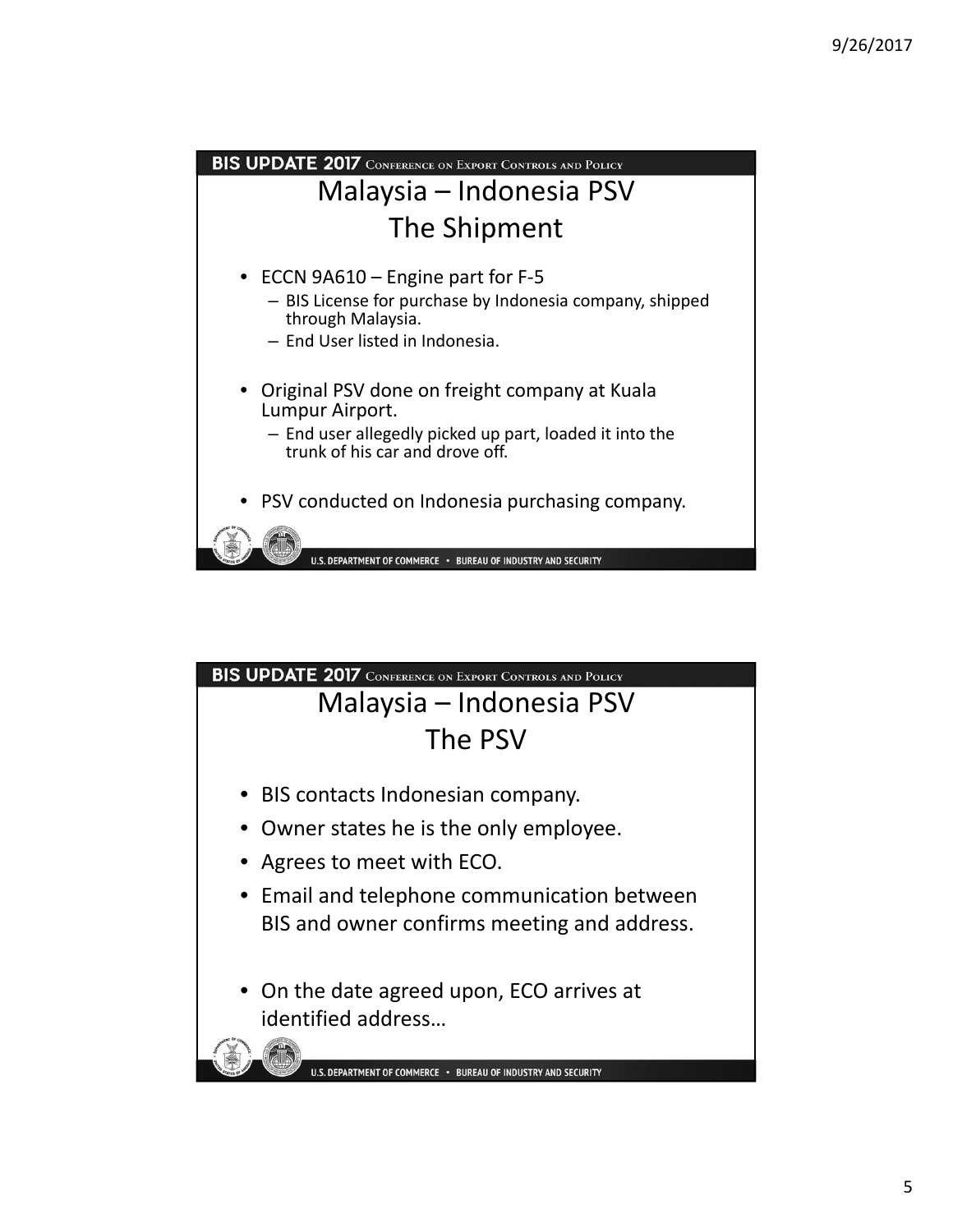

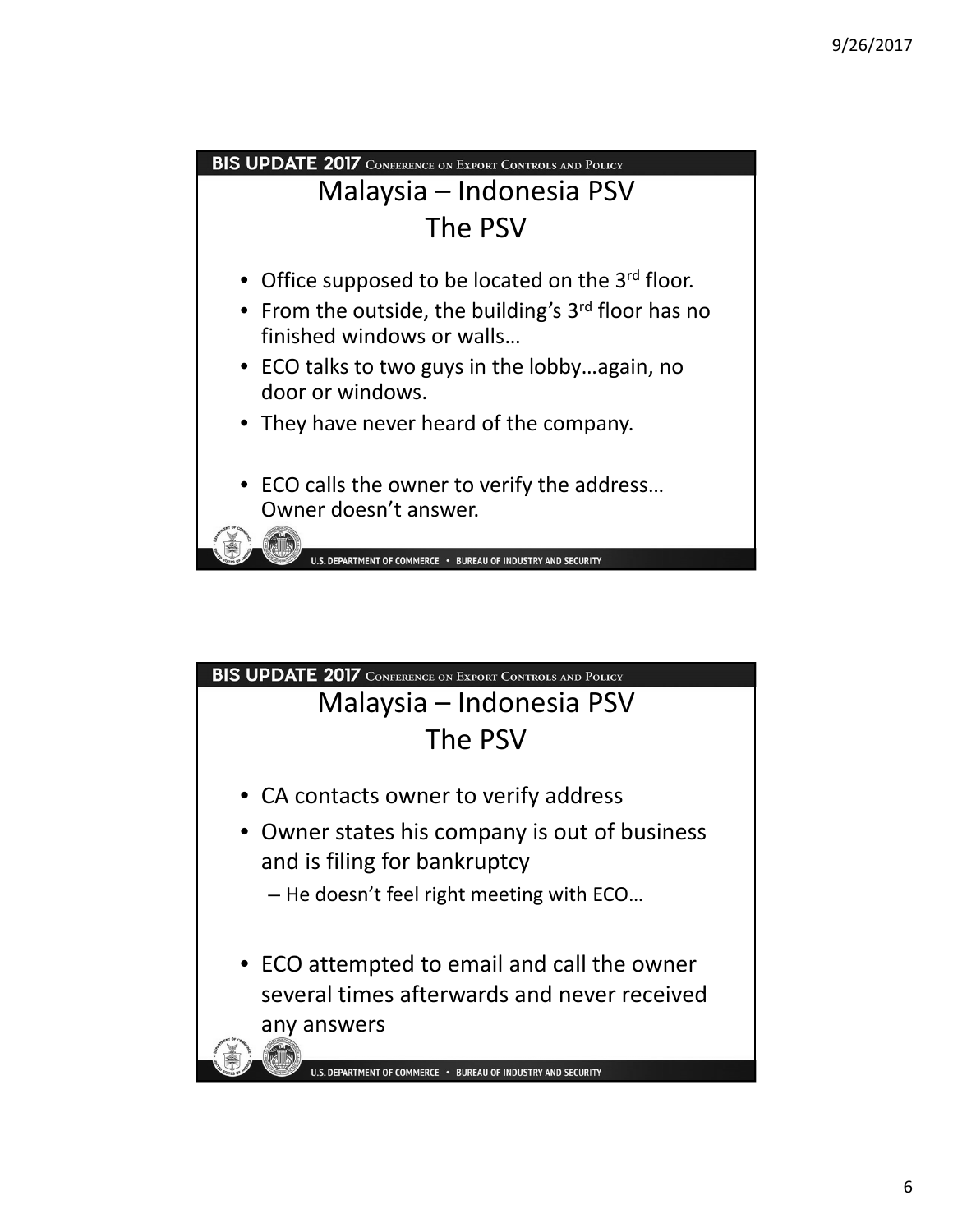

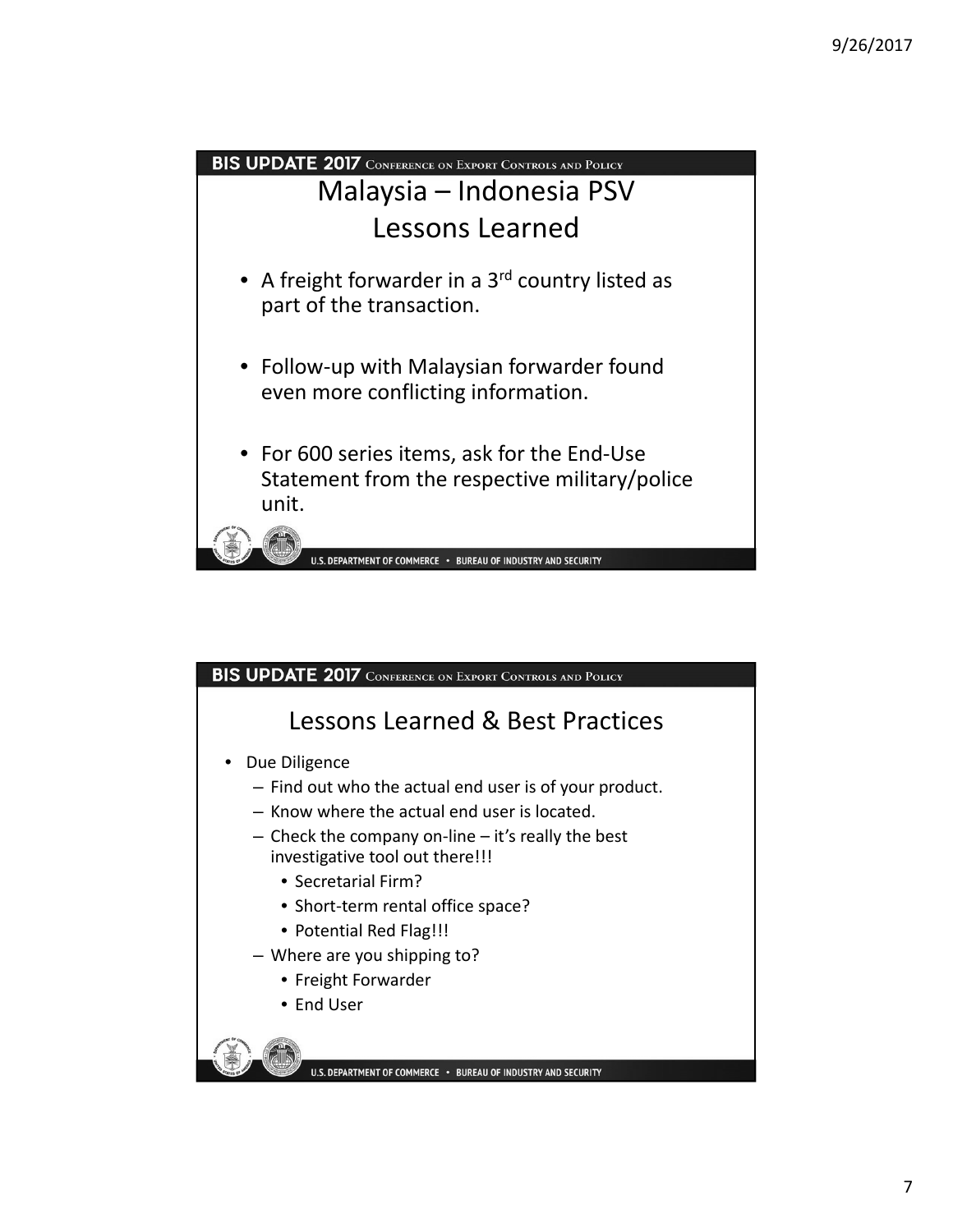